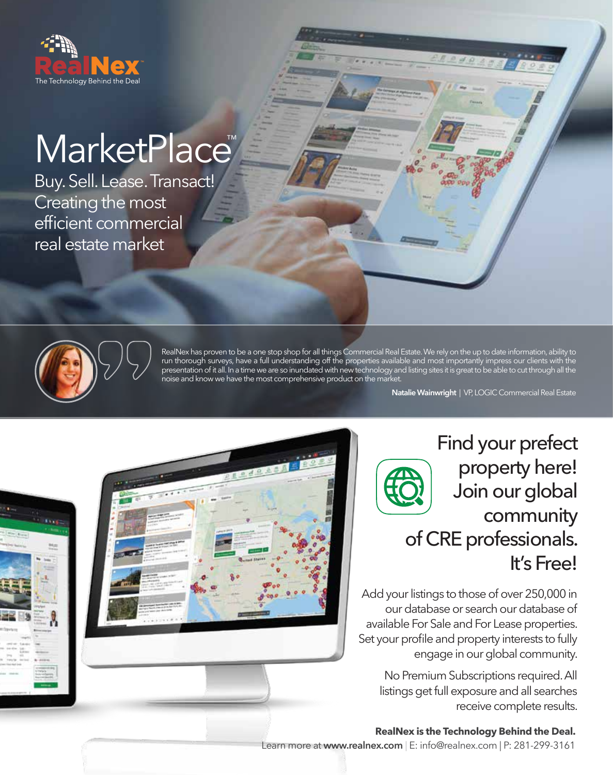

## MarketPlace<sup>™</sup>

Buy. Sell. Lease. Transact! Creating the most efficient commercial real estate market



RealNex has proven to be a one stop shop for all things Commercial Real Estate. We rely on the up to date information, ability to run thorough surveys, have a full understanding off the properties available and most importantly impress our clients with the presentation of it all. In a time we are so inundated with new technology and listing sites it is great to be able to cut through all the noise and know we have the most comprehensive product on the market.

**Natalie Wainwright** | VP, LOGIC Commercial Real Estate

Find your prefect property here! Join our global community of CRE professionals. It's Free!

Add your listings to those of over 250,000 in our database or search our database of available For Sale and For Lease properties. Set your profile and property interests to fully engage in our global community.

No Premium Subscriptions required. All listings get full exposure and all searches receive complete results.

**RealNex is the Technology Behind the Deal.**

Learn more at **www.realnex.com** | E: info@realnex.com | P: 281-299-3161